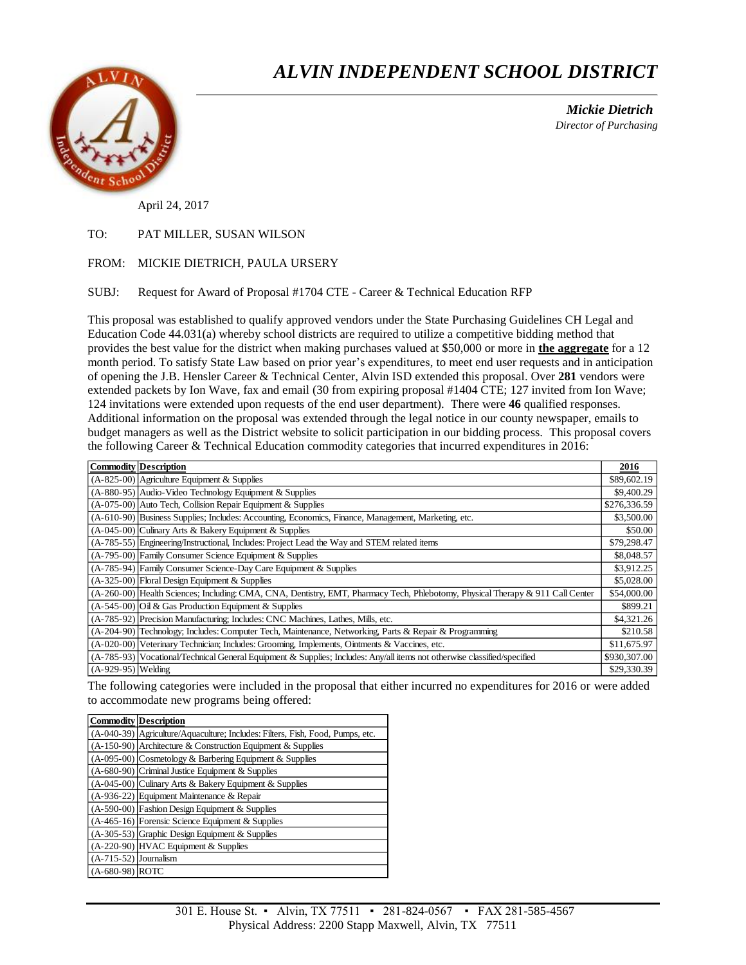# *ALVIN INDEPENDENT SCHOOL DISTRICT*

 *Mickie Dietrich Director of Purchasing*

April 24, 2017

### TO: PAT MILLER, SUSAN WILSON

### FROM: MICKIE DIETRICH, PAULA URSERY

SUBJ: Request for Award of Proposal #1704 CTE - Career & Technical Education RFP

This proposal was established to qualify approved vendors under the State Purchasing Guidelines CH Legal and Education Code 44.031(a) whereby school districts are required to utilize a competitive bidding method that provides the best value for the district when making purchases valued at \$50,000 or more in **the aggregate** for a 12 month period. To satisfy State Law based on prior year's expenditures, to meet end user requests and in anticipation of opening the J.B. Hensler Career & Technical Center, Alvin ISD extended this proposal. Over **281** vendors were extended packets by Ion Wave, fax and email (30 from expiring proposal #1404 CTE; 127 invited from Ion Wave; 124 invitations were extended upon requests of the end user department). There were **46** qualified responses. Additional information on the proposal was extended through the legal notice in our county newspaper, emails to budget managers as well as the District website to solicit participation in our bidding process. This proposal covers the following Career & Technical Education commodity categories that incurred expenditures in 2016:

|                      | <b>Commodity Description</b>                                                                                                   | 2016         |
|----------------------|--------------------------------------------------------------------------------------------------------------------------------|--------------|
|                      | $(A-825-00)$ Agriculture Equipment & Supplies                                                                                  | \$89,602.19  |
|                      | $(A-880-95)$ Audio-Video Technology Equipment & Supplies                                                                       | \$9,400.29   |
|                      | $(A-075-00)$ Auto Tech, Collision Repair Equipment & Supplies                                                                  | \$276,336.59 |
|                      | (A-610-90) Business Supplies; Includes: Accounting, Economics, Finance, Management, Marketing, etc.                            | \$3,500.00   |
|                      | $(A-045-00)$ Culinary Arts & Bakery Equipment & Supplies                                                                       | \$50.00      |
|                      | (A-785-55) Engineering/Instructional, Includes: Project Lead the Way and STEM related items                                    | \$79,298.47  |
|                      | $(A-795-00)$ Family Consumer Science Equipment & Supplies                                                                      | \$8,048.57   |
|                      | $(A-785-94)$ Family Consumer Science-Day Care Equipment & Supplies                                                             | \$3,912.25   |
|                      | (A-325-00) Floral Design Equipment & Supplies                                                                                  | \$5,028.00   |
|                      | (A-260-00) Health Sciences; Including: CMA, CNA, Dentistry, EMT, Pharmacy Tech, Phlebotomy, Physical Therapy & 911 Call Center | \$54,000.00  |
|                      | $(A-545-00)$ Oil & Gas Production Equipment & Supplies                                                                         | \$899.21     |
|                      | (A-785-92) Precision Manufacturing; Includes: CNC Machines, Lathes, Mills, etc.                                                | \$4,321.26   |
|                      | (A-204-90) Technology; Includes: Computer Tech, Maintenance, Networking, Parts & Repair & Programming                          | \$210.58     |
|                      | (A-020-00) Veterinary Technician; Includes: Grooming, Implements, Ointments & Vaccines, etc.                                   | \$11,675.97  |
|                      | (A-785-93) Vocational/Technical General Equipment & Supplies; Includes: Any/all items not otherwise classified/specified       | \$930,307.00 |
| $(A-929-95)$ Welding |                                                                                                                                | \$29,330.39  |

The following categories were included in the proposal that either incurred no expenditures for 2016 or were added to accommodate new programs being offered:

|                         | <b>Commodity Description</b>                                                   |
|-------------------------|--------------------------------------------------------------------------------|
|                         | (A-040-39) Agriculture/Aquaculture; Includes: Filters, Fish, Food, Pumps, etc. |
|                         | $(A-150-90)$ Architecture & Construction Equipment & Supplies                  |
|                         | $(A-095-00)$ Cosmetology & Barbering Equipment & Supplies                      |
|                         | (A-680-90) Criminal Justice Equipment & Supplies                               |
|                         | (A-045-00) Culinary Arts & Bakery Equipment & Supplies                         |
|                         | $(A-936-22)$ Equipment Maintenance & Repair                                    |
|                         | (A-590-00) Fashion Design Equipment & Supplies                                 |
|                         | $(A-465-16)$ Forensic Science Equipment & Supplies                             |
|                         | $(A-305-53)$ Graphic Design Equipment & Supplies                               |
|                         | (A-220-90) HVAC Equipment & Supplies                                           |
| $(A-715-52)$ Journalism |                                                                                |
| (A-680-98) ROTC         |                                                                                |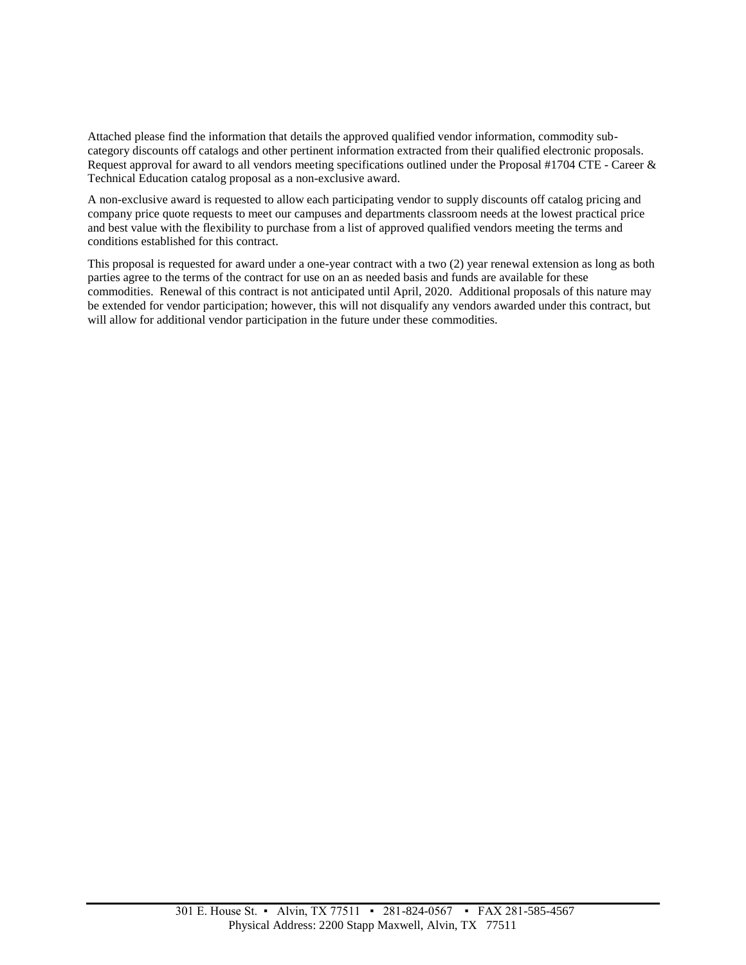Attached please find the information that details the approved qualified vendor information, commodity subcategory discounts off catalogs and other pertinent information extracted from their qualified electronic proposals. Request approval for award to all vendors meeting specifications outlined under the Proposal #1704 CTE - Career & Technical Education catalog proposal as a non-exclusive award.

A non-exclusive award is requested to allow each participating vendor to supply discounts off catalog pricing and company price quote requests to meet our campuses and departments classroom needs at the lowest practical price and best value with the flexibility to purchase from a list of approved qualified vendors meeting the terms and conditions established for this contract.

This proposal is requested for award under a one-year contract with a two (2) year renewal extension as long as both parties agree to the terms of the contract for use on an as needed basis and funds are available for these commodities. Renewal of this contract is not anticipated until April, 2020. Additional proposals of this nature may be extended for vendor participation; however, this will not disqualify any vendors awarded under this contract, but will allow for additional vendor participation in the future under these commodities.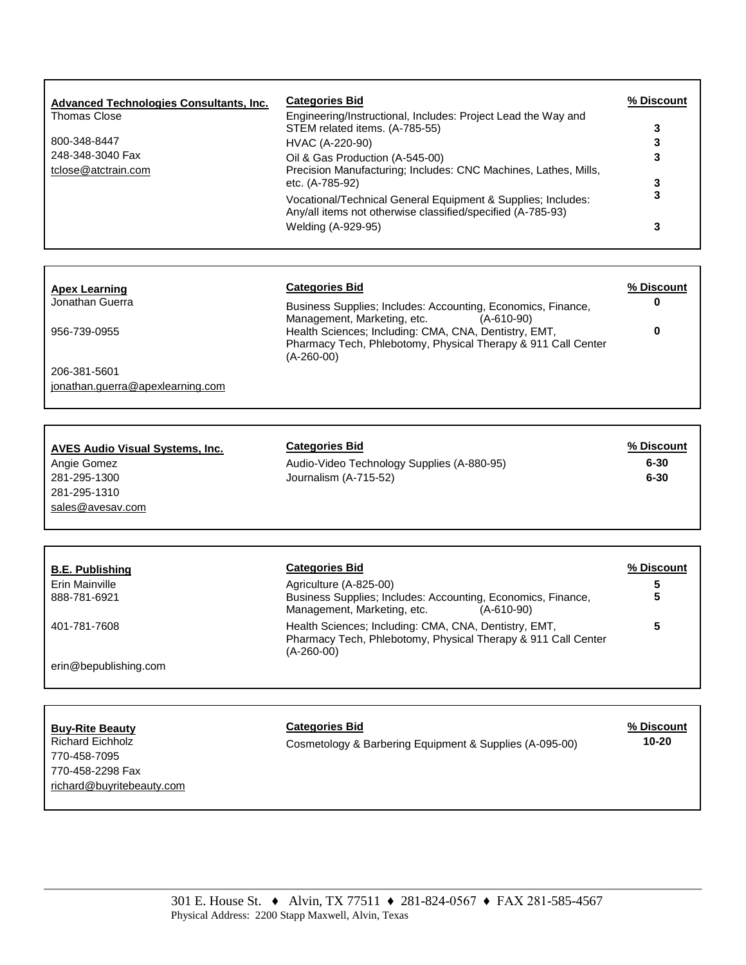| <b>Advanced Technologies Consultants, Inc.</b> | <b>Categories Bid</b>                                                                                                       | % Discount |
|------------------------------------------------|-----------------------------------------------------------------------------------------------------------------------------|------------|
| Thomas Close                                   | Engineering/Instructional, Includes: Project Lead the Way and<br>STEM related items. (A-785-55)                             | 3          |
| 800-348-8447                                   | HVAC (A-220-90)                                                                                                             | 3          |
| 248-348-3040 Fax<br>tclose@atctrain.com        | Oil & Gas Production (A-545-00)<br>Precision Manufacturing; Includes: CNC Machines, Lathes, Mills,                          | 3          |
|                                                | etc. (A-785-92)                                                                                                             |            |
|                                                | Vocational/Technical General Equipment & Supplies; Includes:<br>Any/all items not otherwise classified/specified (A-785-93) | 3          |
|                                                | Welding (A-929-95)                                                                                                          |            |

## **Apex Learning Categories Bid % Discount**

Jonathan Guerra **Business Supplies**; Includes: Accounting, Economics, Finance, Management, Marketing, etc. (A-610-90) 956-739-0955 Health Sciences; Including: CMA, CNA, Dentistry, EMT, Pharmacy Tech, Phlebotomy, Physical Therapy & 911 Call Center (A-260-00)

206-381-5601 [jonathan.guerra@apexlearning.com](mailto:jonathan.guerra@apexlearning.com)

## **AVES Audio Visual Systems, Inc. Categories Bid % Discount**

281-295-1310 [sales@avesav.com](mailto:sales@avesav.com)

Angie Gomez **Audio-Video Technology Supplies (A-880-95) 6-30** 281-295-1300 Journalism (A-715-52) **6-30**

**0**

| <b>B.E. Publishing</b> | <b>Categories Bid</b>                                                                                                                      | % Discount |
|------------------------|--------------------------------------------------------------------------------------------------------------------------------------------|------------|
| Erin Mainville         | Agriculture (A-825-00)                                                                                                                     | 5          |
| 888-781-6921           | Business Supplies; Includes: Accounting, Economics, Finance,<br>Management, Marketing, etc.<br>$(A - 610 - 90)$                            | 5          |
| 401-781-7608           | Health Sciences; Including: CMA, CNA, Dentistry, EMT,<br>Pharmacy Tech, Phlebotomy, Physical Therapy & 911 Call Center<br>$(A - 260 - 00)$ | 5          |
| erin@bepublishing.com  |                                                                                                                                            |            |

| <b>Buy-Rite Beauty</b><br><b>Richard Eichholz</b><br>770-458-7095<br>770-458-2298 Fax<br>richard@buyritebeauty.com | <b>Categories Bid</b><br>Cosmetology & Barbering Equipment & Supplies (A-095-00) | % Discount<br>$10 - 20$ |
|--------------------------------------------------------------------------------------------------------------------|----------------------------------------------------------------------------------|-------------------------|
|                                                                                                                    |                                                                                  |                         |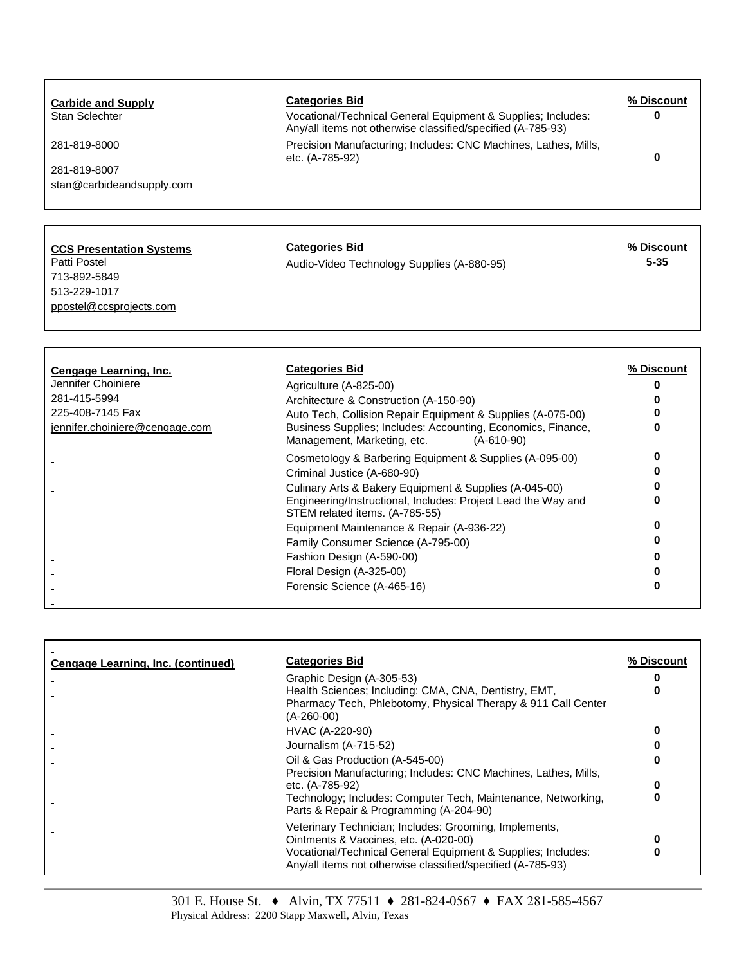| <b>Carbide and Supply</b><br>Stan Sclechter<br>281-819-8000<br>281-819-8007<br>stan@carbideandsupply.com                                      | <b>Categories Bid</b><br>Vocational/Technical General Equipment & Supplies; Includes:<br>Any/all items not otherwise classified/specified (A-785-93)<br>Precision Manufacturing; Includes: CNC Machines, Lathes, Mills,<br>etc. (A-785-92)                              | % Discount<br>0<br>$\bf{0}$    |
|-----------------------------------------------------------------------------------------------------------------------------------------------|-------------------------------------------------------------------------------------------------------------------------------------------------------------------------------------------------------------------------------------------------------------------------|--------------------------------|
| <b>CCS Presentation Systems</b><br>Patti Postel<br>713-892-5849<br>513-229-1017                                                               | <b>Categories Bid</b><br>Audio-Video Technology Supplies (A-880-95)                                                                                                                                                                                                     | % Discount<br>$5 - 35$         |
| ppostel@ccsprojects.com<br>Cengage Learning, Inc.<br>Jennifer Choiniere<br>281-415-5994<br>225-408-7145 Fax<br>jennifer.choiniere@cengage.com | <b>Categories Bid</b><br>Agriculture (A-825-00)<br>Architecture & Construction (A-150-90)<br>Auto Tech, Collision Repair Equipment & Supplies (A-075-00)<br>Business Supplies; Includes: Accounting, Economics, Finance,<br>Management, Marketing, etc.<br>$(A-610-90)$ | % Discount<br>0<br>n<br>0<br>U |
|                                                                                                                                               | Cosmetology & Barbering Equipment & Supplies (A-095-00)<br>Criminal Justice (A-680-90)<br>Culinary Arts & Bakery Equipment & Supplies (A-045-00)                                                                                                                        | 0<br>o<br>0                    |

|                                           | Forensic Science (A-465-16)                                                                                                            |            |
|-------------------------------------------|----------------------------------------------------------------------------------------------------------------------------------------|------------|
|                                           |                                                                                                                                        |            |
| <b>Cengage Learning, Inc. (continued)</b> | <b>Categories Bid</b>                                                                                                                  | % Discount |
|                                           | Graphic Design (A-305-53)                                                                                                              |            |
|                                           | Health Sciences; Including: CMA, CNA, Dentistry, EMT,<br>Pharmacy Tech, Phlebotomy, Physical Therapy & 911 Call Center<br>$(A-260-00)$ | U          |
|                                           | HVAC (A-220-90)                                                                                                                        | o          |
|                                           | Journalism (A-715-52)                                                                                                                  |            |
|                                           | Oil & Gas Production (A-545-00)                                                                                                        |            |
|                                           |                                                                                                                                        |            |

STEM related items. (A-785-55)

 $\overline{a}$ 

 $\frac{1}{2}$ 

Family Consumer Science (A-795-00) **0**

Engineering/Instructional, Includes: Project Lead the Way and

Equipment Maintenance & Repair (A-936-22) **0**

Fashion Design (A-590-00) **0** Floral Design (A-325-00) **0**

| $5.4$ $\mu$ . The section is the section of $\mu$                                                                                          |  |
|--------------------------------------------------------------------------------------------------------------------------------------------|--|
| Health Sciences; Including: CMA, CNA, Dentistry, EMT,<br>Pharmacy Tech, Phlebotomy, Physical Therapy & 911 Call Center<br>$(A - 260 - 00)$ |  |
| HVAC (A-220-90)                                                                                                                            |  |
| Journalism (A-715-52)                                                                                                                      |  |
| Oil & Gas Production (A-545-00)<br>Precision Manufacturing; Includes: CNC Machines, Lathes, Mills,                                         |  |
| etc. (A-785-92)                                                                                                                            |  |
| Technology: Includes: Computer Tech, Maintenance, Networking,<br>Parts & Repair & Programming (A-204-90)                                   |  |
| Veterinary Technician; Includes: Grooming, Implements,<br>Ointments & Vaccines, etc. (A-020-00)                                            |  |
| Vocational/Technical General Equipment & Supplies; Includes:<br>Any/all items not otherwise classified/specified (A-785-93)                |  |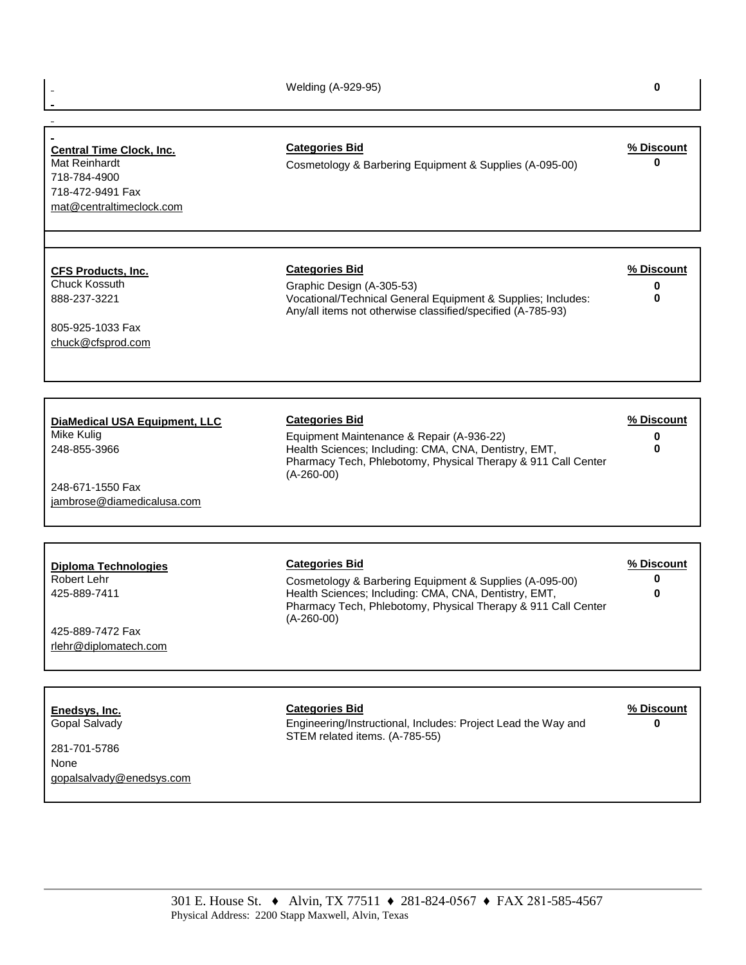Welding (A-929-95) **0**

÷,

## **Central Time Clock, Inc.** Categories Bid<br>
Mat Reinhardt **Cosmetology & Barbering Equipment & Supplies (A-095-00)** Cosmetology & Barbering Equipment & Supplies (A-095-00) **0** 718-784-4900 718-472-9491 Fax [mat@centraltimeclock.com](mailto:mat@centraltimeclock.com) **CFS Products, Inc. Categories Bid % Discount** Chuck Kossuth Graphic Design (A-305-53) **0** 888-237-3221 Vocational/Technical General Equipment & Supplies; Includes: Any/all items not otherwise classified/specified (A-785-93) **0** 805-925-1033 Fax [chuck@cfsprod.com](mailto:chuck@cfsprod.com) **DiaMedical USA Equipment, LLC Categories Bid % Discount** Mike Kulig **Mike Kulig 2018** Campoon Maintenance & Repair (A-936-22) **0**<br>248-855-3966 **0 1** Health Sciences; Including: CMA, CNA, Dentistry, EMT, **0 0** Health Sciences; Including: CMA, CNA, Dentistry, EMT, Pharmacy Tech, Phlebotomy, Physical Therapy & 911 Call Center (A-260-00) **0** 248-671-1550 Fax [jambrose@diamedicalusa.com](mailto:jambrose@diamedicalusa.com) **Diploma Technologies Categories Bid % Discount** Robert Lehr **Cosmetology & Barbering Equipment & Supplies (A-095-00) 0** 425-889-7411 Health Sciences; Including: CMA, CNA, Dentistry, EMT, Pharmacy Tech, Phlebotomy, Physical Therapy & 911 Call Center (A-260-00) **0** 425-889-7472 Fax [rlehr@diplomatech.com](mailto:rlehr@diplomatech.com) **Enedsys, Inc. Categories Bid % Discount** Gopal Salvady Engineering/Instructional, Includes: Project Lead the Way and STEM related items. (A-785-55) **0** 281-701-5786 None [gopalsalvady@enedsys.com](mailto:gopalsalvady@enedsys.com)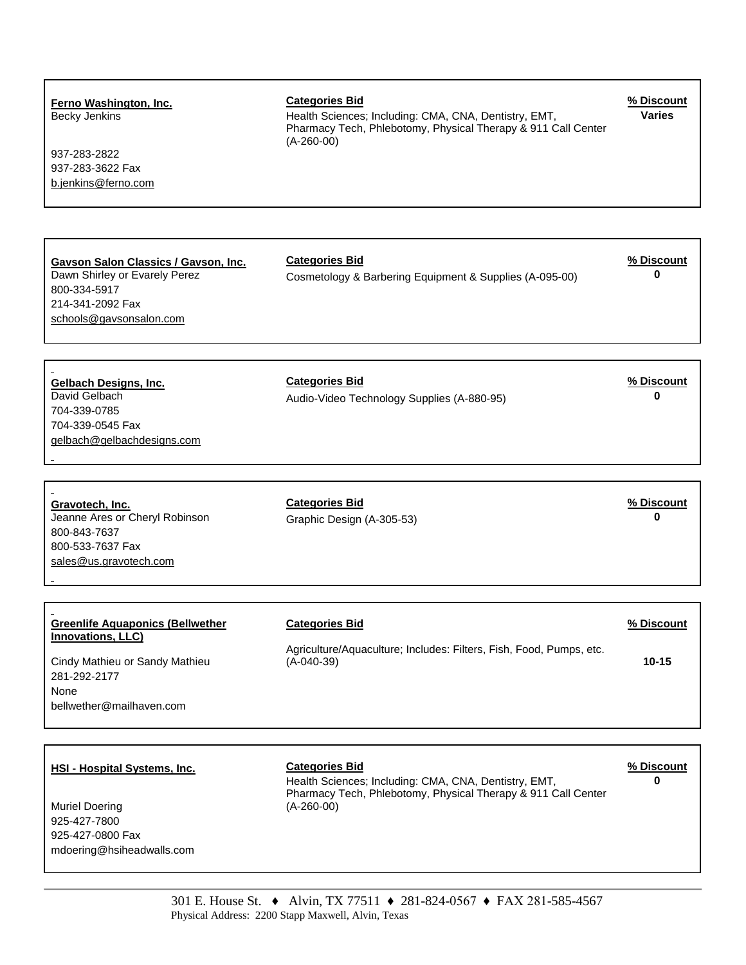## **Ferno Washington, Inc. Categories Bid % Discount** Becky Jenkins **Health Sciences; Including: CMA, CNA, Dentistry, EMT,** Pharmacy Tech, Phlebotomy, Physical Therapy & 911 Call Center (A-260-00) **Varies** 937-283-2822 937-283-3622 Fax [b.jenkins@ferno.com](mailto:b.jenkins@ferno.com) **Gavson Salon Classics / Gavson, Inc. Categories Bid % Discount** Cosmetology & Barbering Equipment & Supplies (A-095-00) 800-334-5917 214-341-2092 Fax [schools@gavsonsalon.com](mailto:schools@gavsonsalon.com) **Gelbach Designs, Inc. Categories Bid % Discount** Audio-Video Technology Supplies (A-880-95) **0** 704-339-0785 704-339-0545 Fax [gelbach@gelbachdesigns.com](mailto:gelbach@gelbachdesigns.com) **Gravotech, Inc. Categories Bid % Discount** Jeanne Ares or Cheryl Robinson Graphic Design (A-305-53) **0** 800-843-7637 800-533-7637 Fax [sales@us.gravotech.com](mailto:sales@us.gravotech.com) **Greenlife Aquaponics (Bellwether Innovations, LLC) Categories Bid % Discount** Cindy Mathieu or Sandy Mathieu Agriculture/Aquaculture; Includes: Filters, Fish, Food, Pumps, etc. (A-040-39) **10-15** 281-292-2177 None bellwether@mailhaven.com **HSI - Hospital Systems, Inc. Categories Bid % Discount**

Muriel Doering 925-427-7800 925-427-0800 Fax mdoering@hsiheadwalls.com

Health Sciences; Including: CMA, CNA, Dentistry, EMT, Pharmacy Tech, Phlebotomy, Physical Therapy & 911 Call Center (A-260-00)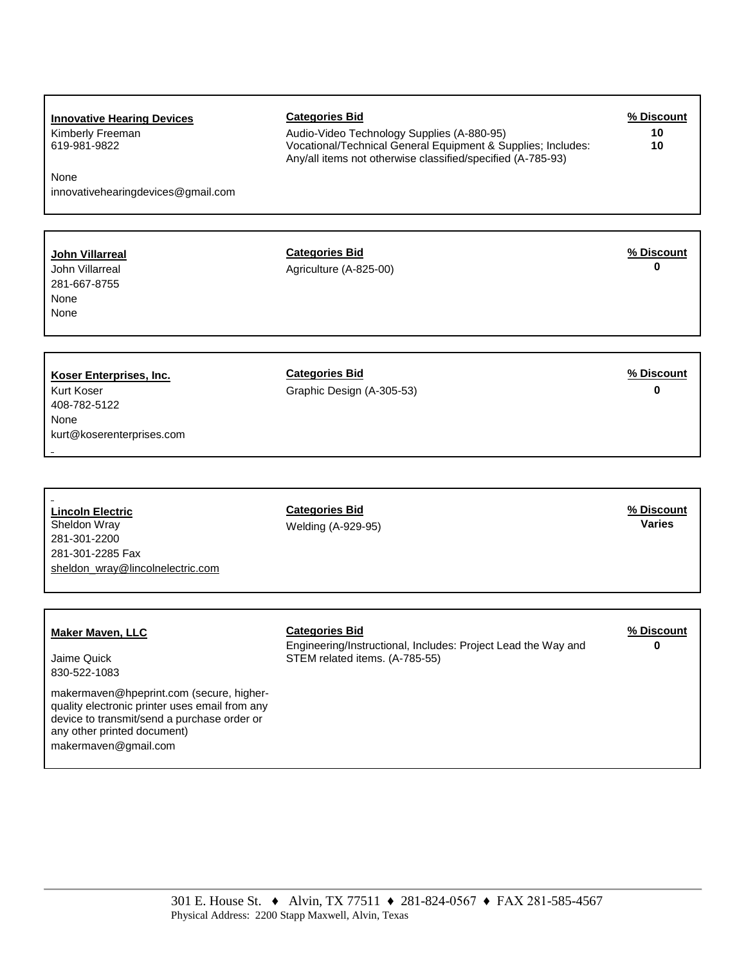| <b>Innovative Hearing Devices</b><br>Kimberly Freeman<br>619-981-9822<br>None<br>innovativehearingdevices@gmail.com | <b>Categories Bid</b><br>Audio-Video Technology Supplies (A-880-95)<br>Vocational/Technical General Equipment & Supplies; Includes:<br>Any/all items not otherwise classified/specified (A-785-93) | % Discount<br>10<br>10      |
|---------------------------------------------------------------------------------------------------------------------|----------------------------------------------------------------------------------------------------------------------------------------------------------------------------------------------------|-----------------------------|
| <b>John Villarreal</b><br>John Villarreal<br>281-667-8755<br>None<br>None                                           | <b>Categories Bid</b><br>Agriculture (A-825-00)                                                                                                                                                    | % Discount<br>$\bf{0}$      |
| Koser Enterprises, Inc.<br>Kurt Koser<br>408-782-5122<br>None<br>kurt@koserenterprises.com                          | <b>Categories Bid</b><br>Graphic Design (A-305-53)                                                                                                                                                 | % Discount<br>$\bf{0}$      |
| <b>Lincoln Electric</b><br>Sheldon Wray<br>281-301-2200<br>281-301-2285 Fax<br>sheldon_wray@lincolnelectric.com     | <b>Categories Bid</b><br>Welding (A-929-95)                                                                                                                                                        | % Discount<br><b>Varies</b> |
| <b>Maker Maven, LLC</b><br>Jaime Quick<br>830-522-1083                                                              | <b>Categories Bid</b><br>Engineering/Instructional, Includes: Project Lead the Way and<br>STEM related items. (A-785-55)                                                                           | % Discount<br>$\bf{0}$      |

makermaven@hpeprint.com (secure, higherquality electronic printer uses email from any device to transmit/send a purchase order or any other printed document) makermaven@gmail.com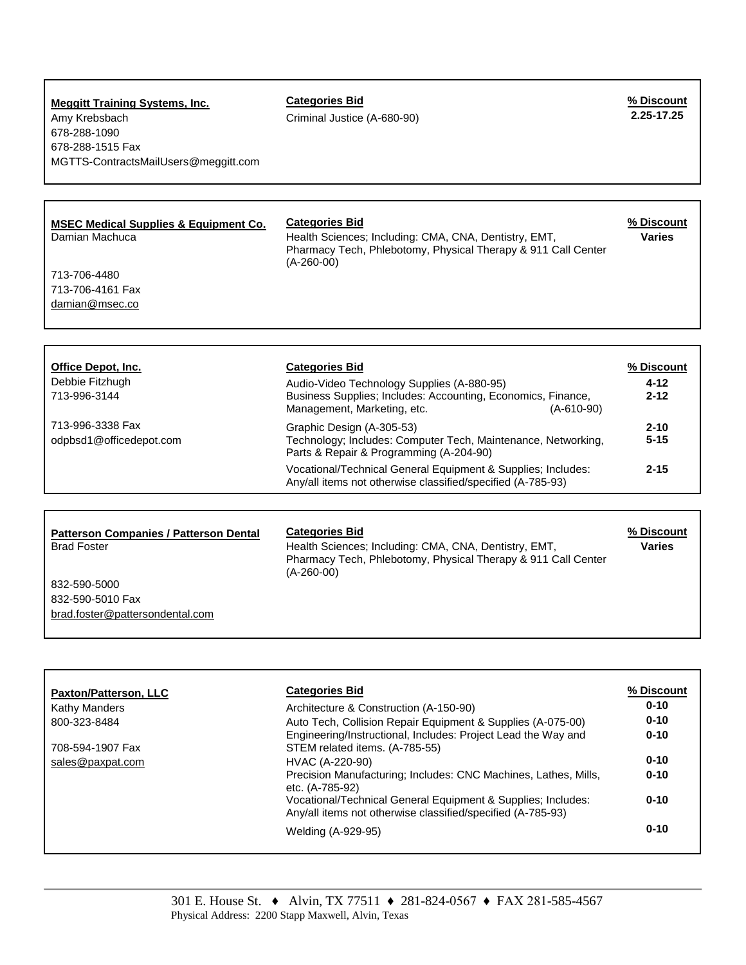### **Meggitt Training Systems, Inc. Categories Bid % Discount** Amy Krebsbach **2.25-17.25-17.25-17.25-17.25-17.25-17.25-17.25-20** Criminal Justice (A-680-90) 678-288-1090 678-288-1515 Fax MGTTS-ContractsMailUsers@meggitt.com

## **MSEC Medical Supplies & Equipment Co. Categories Bid % Discount** Damian Machuca **Health Sciences; Including: CMA, CNA, Dentistry, EMT,** Pharmacy Tech, Phlebotomy, Physical Therapy & 911 Call Center  $(A - 260 - 00)$ **Varies** 713-706-4480 713-706-4161 Fax [damian@msec.co](mailto:damian@msec.co) **Office Depot, Inc. Categories Bid % Discount** Debbie Fitzhugh **Audio-Video Technology Supplies (A-880-95)** 4-12 713-996-3144 **2-12**

713-996-3338 Fax odpbsd1@officedepot.com

| Business Supplies; Includes: Accounting, Economics, Finance,<br>Management, Marketing, etc.<br>$(A-610-90)$                           | $2 - 12$             |
|---------------------------------------------------------------------------------------------------------------------------------------|----------------------|
| Graphic Design (A-305-53)<br>Technology; Includes: Computer Tech, Maintenance, Networking,<br>Parts & Repair & Programming (A-204-90) | $2 - 10$<br>$5 - 15$ |
| Vocational/Technical General Equipment & Supplies; Includes:<br>Any/all items not otherwise classified/specified (A-785-93)           | $2 - 15$             |

| <b>Patterson Companies / Patterson Dental</b><br><b>Brad Foster</b> | <b>Categories Bid</b><br>Health Sciences; Including: CMA, CNA, Dentistry, EMT,<br>Pharmacy Tech, Phlebotomy, Physical Therapy & 911 Call Center<br>$(A - 260 - 00)$ | % Discount<br>Varies |
|---------------------------------------------------------------------|---------------------------------------------------------------------------------------------------------------------------------------------------------------------|----------------------|
| 832-590-5000                                                        |                                                                                                                                                                     |                      |
| 832-590-5010 Fax                                                    |                                                                                                                                                                     |                      |
| brad.foster@pattersondental.com                                     |                                                                                                                                                                     |                      |

| <b>Paxton/Patterson, LLC</b> | <b>Categories Bid</b>                                                                                                       | % Discount |
|------------------------------|-----------------------------------------------------------------------------------------------------------------------------|------------|
| Kathy Manders                | Architecture & Construction (A-150-90)                                                                                      | $0 - 10$   |
| 800-323-8484                 | Auto Tech, Collision Repair Equipment & Supplies (A-075-00)                                                                 | $0 - 10$   |
| 708-594-1907 Fax             | Engineering/Instructional, Includes: Project Lead the Way and<br>STEM related items. (A-785-55)                             | $0 - 10$   |
| sales@paxpat.com             | HVAC (A-220-90)                                                                                                             | $0 - 10$   |
|                              | Precision Manufacturing; Includes: CNC Machines, Lathes, Mills,<br>etc. (A-785-92)                                          | $0 - 10$   |
|                              | Vocational/Technical General Equipment & Supplies; Includes:<br>Any/all items not otherwise classified/specified (A-785-93) | $0 - 10$   |
|                              | Welding (A-929-95)                                                                                                          | $0 - 10$   |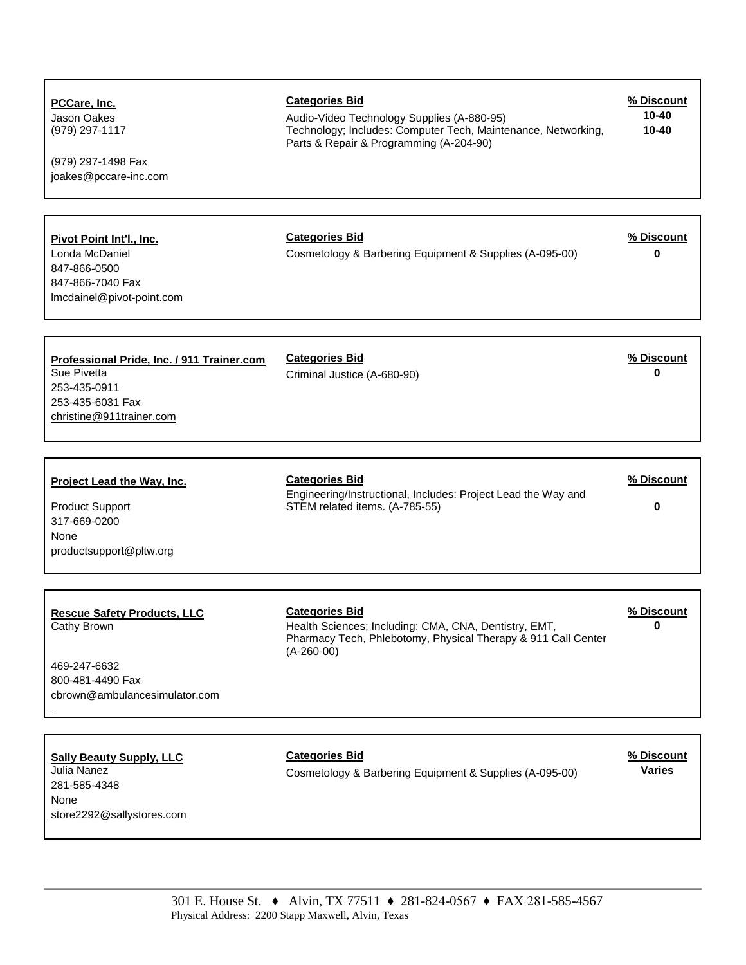| PCCare, Inc.<br>Jason Oakes<br>(979) 297-1117<br>(979) 297-1498 Fax<br>joakes@pccare-inc.com                              | <b>Categories Bid</b><br>Audio-Video Technology Supplies (A-880-95)<br>Technology; Includes: Computer Tech, Maintenance, Networking,<br>Parts & Repair & Programming (A-204-90) | % Discount<br>$10 - 40$<br>$10 - 40$ |
|---------------------------------------------------------------------------------------------------------------------------|---------------------------------------------------------------------------------------------------------------------------------------------------------------------------------|--------------------------------------|
| Pivot Point Int'l., Inc.<br>Londa McDaniel<br>847-866-0500<br>847-866-7040 Fax<br>Imcdainel@pivot-point.com               | <b>Categories Bid</b><br>Cosmetology & Barbering Equipment & Supplies (A-095-00)                                                                                                | % Discount<br>$\bf{0}$               |
| Professional Pride, Inc. / 911 Trainer.com<br>Sue Pivetta<br>253-435-0911<br>253-435-6031 Fax<br>christine@911trainer.com | <b>Categories Bid</b><br>Criminal Justice (A-680-90)                                                                                                                            | % Discount<br>$\bf{0}$               |
| Project Lead the Way, Inc.<br><b>Product Support</b><br>317-669-0200<br>None<br>productsupport@pltw.org                   | <b>Categories Bid</b><br>Engineering/Instructional, Includes: Project Lead the Way and<br>STEM related items. (A-785-55)                                                        | % Discount<br>0                      |
| <b>Rescue Safety Products, LLC</b><br>Cathy Brown<br>469-247-6632<br>800-481-4490 Fax<br>cbrown@ambulancesimulator.com    | <b>Categories Bid</b><br>Health Sciences; Including: CMA, CNA, Dentistry, EMT,<br>Pharmacy Tech, Phlebotomy, Physical Therapy & 911 Call Center<br>$(A-260-00)$                 | % Discount<br>$\bf{0}$               |
| <b>Sally Beauty Supply, LLC</b><br>Julia Nanez<br>281-585-4348<br>None<br>store2292@sallystores.com                       | <b>Categories Bid</b><br>Cosmetology & Barbering Equipment & Supplies (A-095-00)                                                                                                | % Discount<br><b>Varies</b>          |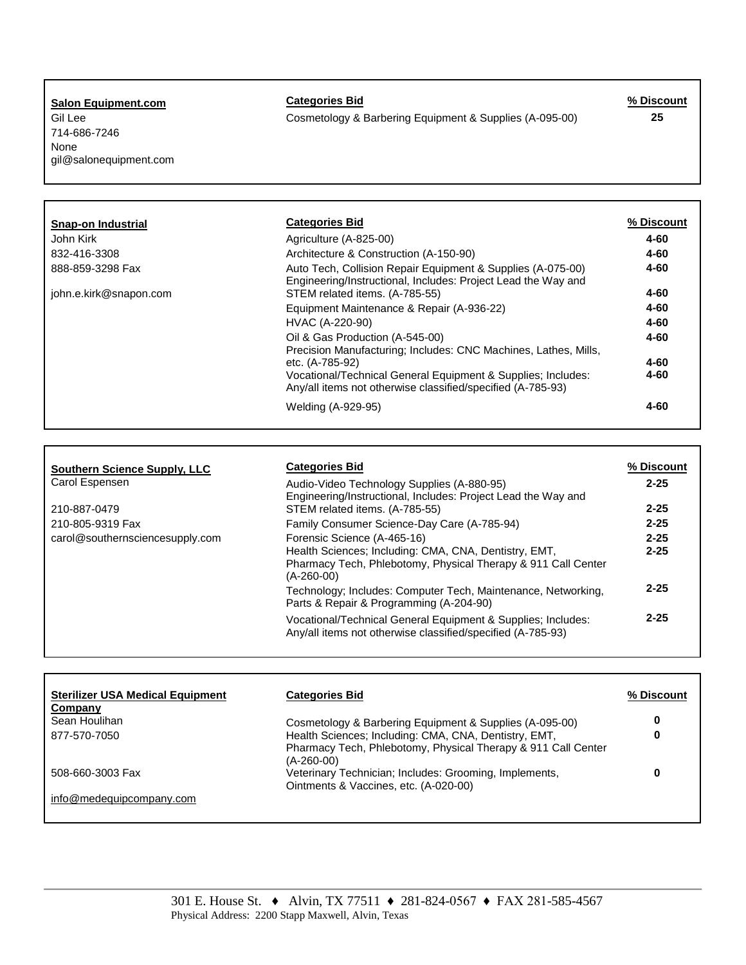**Salon Equipment.com Categories Bid % Discount** 714-686-7246 None gil@salonequipment.com

Gil Lee **Cosmetology & Barbering Equipment & Supplies (A-095-00)** 25

| Snap-on Industrial     | <b>Categories Bid</b>                                                                                                        | % Discount |
|------------------------|------------------------------------------------------------------------------------------------------------------------------|------------|
| John Kirk              | Agriculture (A-825-00)                                                                                                       | 4-60       |
| 832-416-3308           | Architecture & Construction (A-150-90)                                                                                       | $4 - 60$   |
| 888-859-3298 Fax       | Auto Tech, Collision Repair Equipment & Supplies (A-075-00)<br>Engineering/Instructional, Includes: Project Lead the Way and | $4 - 60$   |
| john.e.kirk@snapon.com | STEM related items. (A-785-55)                                                                                               | 4-60       |
|                        | Equipment Maintenance & Repair (A-936-22)                                                                                    | $4 - 60$   |
|                        | HVAC (A-220-90)                                                                                                              | 4-60       |
|                        | Oil & Gas Production (A-545-00)<br>Precision Manufacturing; Includes: CNC Machines, Lathes, Mills,                           | 4-60       |
|                        | etc. (A-785-92)                                                                                                              | 4-60       |
|                        | Vocational/Technical General Equipment & Supplies; Includes:<br>Any/all items not otherwise classified/specified (A-785-93)  | 4-60       |
|                        | Welding (A-929-95)                                                                                                           | $4 - 60$   |

| <b>Southern Science Supply, LLC</b> | <b>Categories Bid</b>                                                                                                                      | % Discount |
|-------------------------------------|--------------------------------------------------------------------------------------------------------------------------------------------|------------|
| Carol Espensen                      | Audio-Video Technology Supplies (A-880-95)                                                                                                 | $2 - 25$   |
| 210-887-0479                        | Engineering/Instructional, Includes: Project Lead the Way and<br>STEM related items. (A-785-55)                                            | $2 - 25$   |
| 210-805-9319 Fax                    | Family Consumer Science-Day Care (A-785-94)                                                                                                | $2 - 25$   |
| carol@southernsciencesupply.com     | Forensic Science (A-465-16)                                                                                                                | $2 - 25$   |
|                                     | Health Sciences; Including: CMA, CNA, Dentistry, EMT,<br>Pharmacy Tech, Phlebotomy, Physical Therapy & 911 Call Center<br>$(A - 260 - 00)$ | $2 - 25$   |
|                                     | Technology; Includes: Computer Tech, Maintenance, Networking,<br>Parts & Repair & Programming (A-204-90)                                   | $2 - 25$   |
|                                     | Vocational/Technical General Equipment & Supplies; Includes:<br>Any/all items not otherwise classified/specified (A-785-93)                | $2 - 25$   |

| <b>Sterilizer USA Medical Equipment</b><br>Company | <b>Categories Bid</b>                                                                                                                | % Discount |
|----------------------------------------------------|--------------------------------------------------------------------------------------------------------------------------------------|------------|
| Sean Houlihan                                      | Cosmetology & Barbering Equipment & Supplies (A-095-00)                                                                              | 0          |
| 877-570-7050                                       | Health Sciences; Including: CMA, CNA, Dentistry, EMT,<br>Pharmacy Tech, Phlebotomy, Physical Therapy & 911 Call Center<br>(A-260-00) | 0          |
| 508-660-3003 Fax                                   | Veterinary Technician; Includes: Grooming, Implements,<br>Ointments & Vaccines, etc. (A-020-00)                                      | 0          |
| info@medequipcompany.com                           |                                                                                                                                      |            |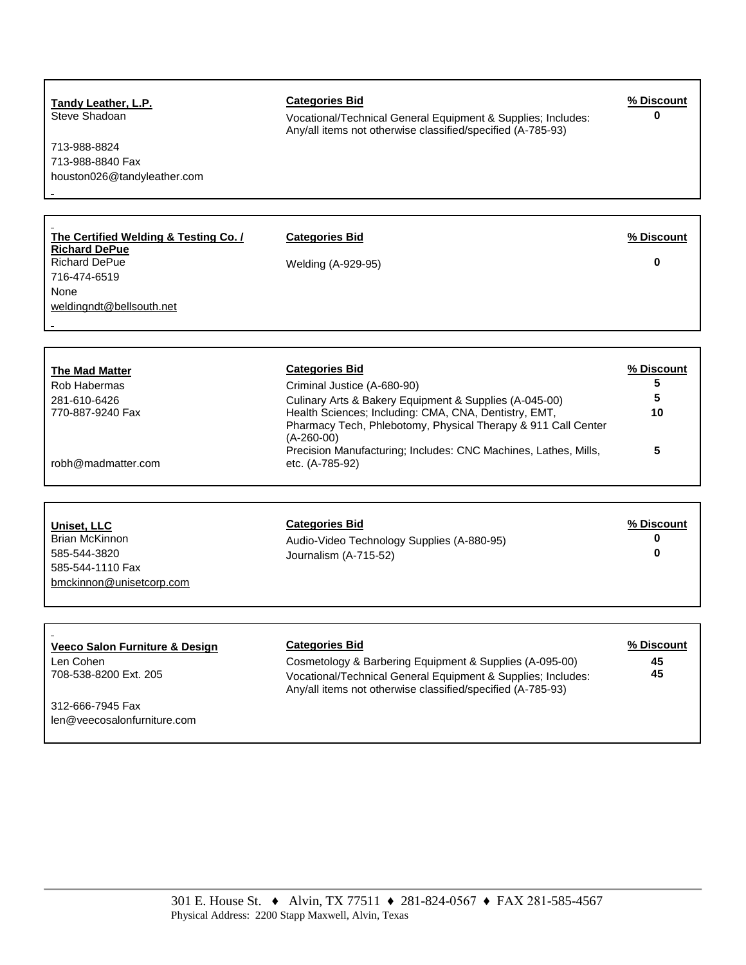713-988-8824 713-988-8840 Fax houston026@tandyleather.com

**The Certified Welding & Testing Co. /** 

**Tandy Leather, L.P.**<br>
Steve Shadoan **Categories Bid** Categories Bid<br>
Vocational/Technical General Fquipment & Supplies: Includes: 0 Vocational/Technical General Equipment & Supplies; Includes: Any/all items not otherwise classified/specified (A-785-93)

**Categories Bid % Discount**

Richard DePue Welding (A-929-95) **0**

**Richard DePue** 716-474-6519 None [weldingndt@bellsouth.net](mailto:weldingndt@bellsouth.net)

**The Mad Matter** Rob Habermas 281-610-6426 770-887-9240 Fax

robh@madmatter.com

L.

| <b>Categories Bid</b>                                                             | % Discount |
|-----------------------------------------------------------------------------------|------------|
| Criminal Justice (A-680-90)                                                       | 5          |
| Culinary Arts & Bakery Equipment & Supplies (A-045-00)                            | 5          |
| Health Sciences; Including: CMA, CNA, Dentistry, EMT,                             | 10         |
| Pharmacy Tech, Phlebotomy, Physical Therapy & 911 Call Center<br>$(A - 260 - 00)$ |            |
| Precision Manufacturing; Includes: CNC Machines, Lathes, Mills,                   | 5          |
| etc. (A-785-92)                                                                   |            |

| Uniset, LLC              | <b>Categories Bid</b>                      | % Discount |
|--------------------------|--------------------------------------------|------------|
| Brian McKinnon           | Audio-Video Technology Supplies (A-880-95) | 0          |
| 585-544-3820             | Journalism (A-715-52)                      | 0          |
| 585-544-1110 Fax         |                                            |            |
| bmckinnon@unisetcorp.com |                                            |            |

| Veeco Salon Furniture & Design     | <b>Categories Bid</b>                                                                                                                                                                  | % Discount |
|------------------------------------|----------------------------------------------------------------------------------------------------------------------------------------------------------------------------------------|------------|
| Len Cohen<br>708-538-8200 Ext. 205 | Cosmetology & Barbering Equipment & Supplies (A-095-00)<br>Vocational/Technical General Equipment & Supplies; Includes:<br>Any/all items not otherwise classified/specified (A-785-93) | 45<br>45   |
| 312-666-7945 Fax                   |                                                                                                                                                                                        |            |
| len@veecosalonfurniture.com        |                                                                                                                                                                                        |            |